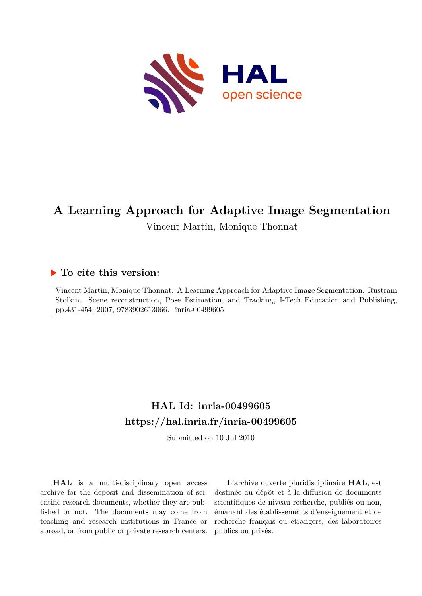

# **A Learning Approach for Adaptive Image Segmentation**

Vincent Martin, Monique Thonnat

### **To cite this version:**

Vincent Martin, Monique Thonnat. A Learning Approach for Adaptive Image Segmentation. Rustram Stolkin. Scene reconstruction, Pose Estimation, and Tracking, I-Tech Education and Publishing, pp.431-454, 2007, 9783902613066. inria-00499605

## **HAL Id: inria-00499605 <https://hal.inria.fr/inria-00499605>**

Submitted on 10 Jul 2010

**HAL** is a multi-disciplinary open access archive for the deposit and dissemination of scientific research documents, whether they are published or not. The documents may come from teaching and research institutions in France or abroad, or from public or private research centers.

L'archive ouverte pluridisciplinaire **HAL**, est destinée au dépôt et à la diffusion de documents scientifiques de niveau recherche, publiés ou non, émanant des établissements d'enseignement et de recherche français ou étrangers, des laboratoires publics ou privés.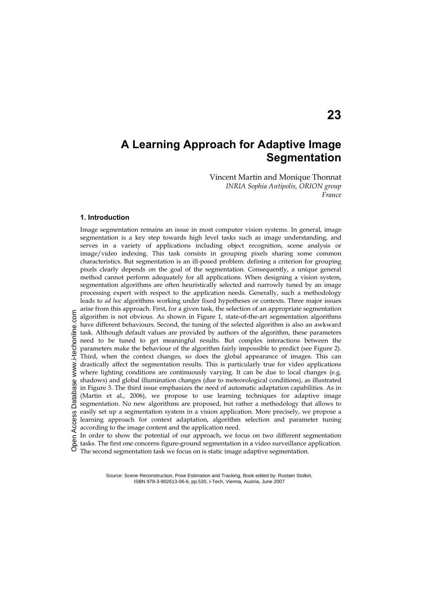## **A Learning Approach for Adaptive Image Segmentation**

Vincent Martin and Monique Thonnat *INRIA Sophia Antipolis, ORION group France*

#### **1. Introduction**

www.i-techonline.com

**Database** 

Access

Image segmentation remains an issue in most computer vision systems. In general, image segmentation is a key step towards high level tasks such as image understanding, and serves in a variety of applications including object recognition, scene analysis or image/video indexing. This task consists in grouping pixels sharing some common characteristics. But segmentation is an ill-posed problem: defining a criterion for grouping pixels clearly depends on the goal of the segmentation. Consequently, a unique general method cannot perform adequately for all applications. When designing a vision system, segmentation algorithms are often heuristically selected and narrowly tuned by an image processing expert with respect to the application needs. Generally, such a methodology leads to *ad hoc* algorithms working under fixed hypotheses or contexts. Three major issues arise from this approach. First, for a given task, the selection of an appropriate segmentation algorithm is not obvious. As shown in Figure 1, state-of-the-art segmentation algorithms have different behaviours. Second, the tuning of the selected algorithm is also an awkward task. Although default values are provided by authors of the algorithm, these parameters need to be tuned to get meaningful results. But complex interactions between the parameters make the behaviour of the algorithm fairly impossible to predict (see Figure 2). Third, when the context changes, so does the global appearance of images. This can drastically affect the segmentation results. This is particularly true for video applications where lighting conditions are continuously varying. It can be due to local changes (e.g. shadows) and global illumination changes (due to meteorological conditions), as illustrated in Figure 3. The third issue emphasizes the need of automatic adaptation capabilities. As in (Martin et al., 2006), we propose to use learning techniques for adaptive image segmentation. No new algorithms are proposed, but rather a methodology that allows to easily set up a segmentation system in a vision application. More precisely, we propose a learning approach for context adaptation, algorithm selection and parameter tuning according to the image content and the application need.

Open Access Database www.i-techonline.comIn order to show the potential of our approach, we focus on two different segmentation  $\overline{e}$ tasks. The first one concerns figure-ground segmentation in a video surveillance application.  $\delta$  tasks. The first one concerns right-ground segmentation.<br>O The second segmentation task we focus on is static image adaptive segmentation.

> Source: Scene Reconstruction, Pose Estimation and Tracking, Book edited by: Rustam Stolkin, ISBN 978-3-902613-06-6, pp.530, I-Tech, Vienna, Austria, June 2007

**23**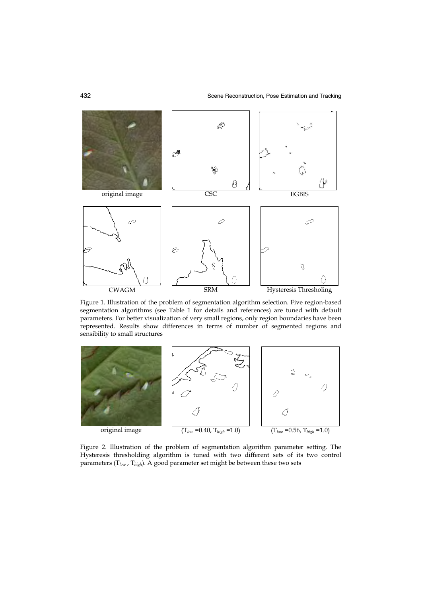

Figure 1. Illustration of the problem of segmentation algorithm selection. Five region-based segmentation algorithms (see Table 1 for details and references) are tuned with default parameters. For better visualization of very small regions, only region boundaries have been represented. Results show differences in terms of number of segmented regions and sensibility to small structures



Figure 2. Illustration of the problem of segmentation algorithm parameter setting. The Hysteresis thresholding algorithm is tuned with two different sets of its two control parameters (T*low* , Τ*high*). A good parameter set might be between these two sets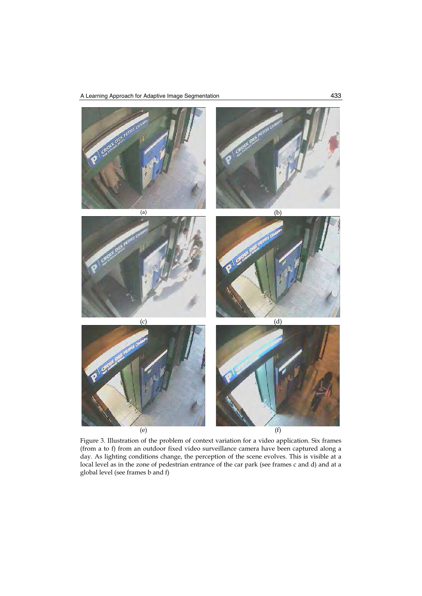

Figure 3. Illustration of the problem of context variation for a video application. Six frames (from a to f) from an outdoor fixed video surveillance camera have been captured along a day. As lighting conditions change, the perception of the scene evolves. This is visible at a local level as in the zone of pedestrian entrance of the car park (see frames c and d) and at a global level (see frames b and f)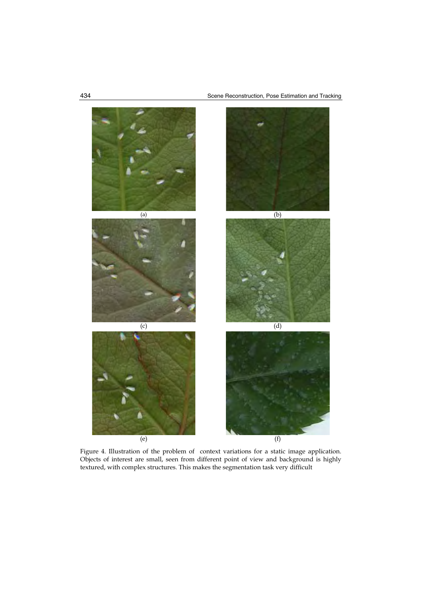434 Scene Reconstruction, Pose Estimation and Tracking



Figure 4. Illustration of the problem of context variations for a static image application. Objects of interest are small, seen from different point of view and background is highly textured, with complex structures. This makes the segmentation task very difficult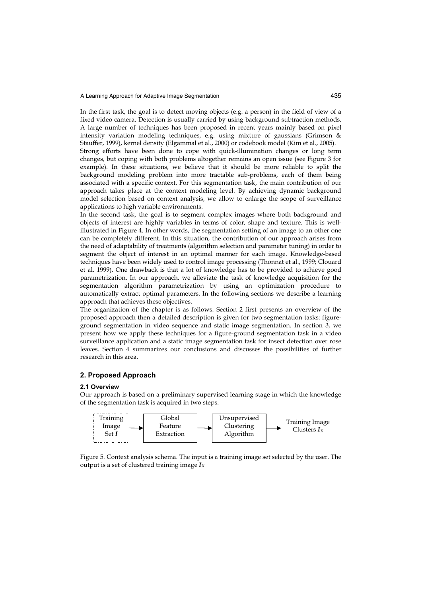In the first task, the goal is to detect moving objects (e.g. a person) in the field of view of a fixed video camera. Detection is usually carried by using background subtraction methods. A large number of techniques has been proposed in recent years mainly based on pixel intensity variation modeling techniques, e.g. using mixture of gaussians (Grimson & Stauffer, 1999), kernel density (Elgammal et al., 2000) or codebook model (Kim et al., 2005). Strong efforts have been done to cope with quick-illumination changes or long term changes, but coping with both problems altogether remains an open issue (see Figure 3 for example). In these situations, we believe that it should be more reliable to split the

background modeling problem into more tractable sub-problems, each of them being associated with a specific context. For this segmentation task, the main contribution of our approach takes place at the context modeling level. By achieving dynamic background model selection based on context analysis, we allow to enlarge the scope of surveillance applications to high variable environments.

In the second task, the goal is to segment complex images where both background and objects of interest are highly variables in terms of color, shape and texture. This is wellillustrated in Figure 4. In other words, the segmentation setting of an image to an other one can be completely different. In this situation, the contribution of our approach arises from the need of adaptability of treatments (algorithm selection and parameter tuning) in order to segment the object of interest in an optimal manner for each image. Knowledge-based techniques have been widely used to control image processing (Thonnat et al., 1999; Clouard et al. 1999). One drawback is that a lot of knowledge has to be provided to achieve good parametrization. In our approach, we alleviate the task of knowledge acquisition for the segmentation algorithm parametrization by using an optimization procedure to automatically extract optimal parameters. In the following sections we describe a learning approach that achieves these objectives.

The organization of the chapter is as follows: Section 2 first presents an overview of the proposed approach then a detailed description is given for two segmentation tasks: figureground segmentation in video sequence and static image segmentation. In section 3, we present how we apply these techniques for a figure-ground segmentation task in a video surveillance application and a static image segmentation task for insect detection over rose leaves. Section 4 summarizes our conclusions and discusses the possibilities of further research in this area.

#### **2. Proposed Approach**

#### **2.1 Overview**

Our approach is based on a preliminary supervised learning stage in which the knowledge of the segmentation task is acquired in two steps.



Figure 5. Context analysis schema. The input is a training image set selected by the user. The output is a set of clustered training image *I<sup>X</sup>*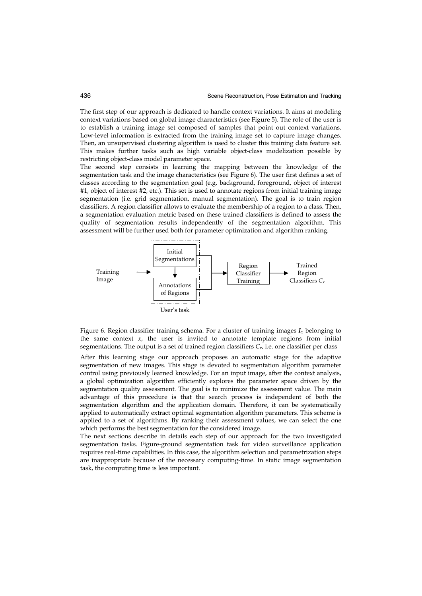The first step of our approach is dedicated to handle context variations. It aims at modeling context variations based on global image characteristics (see Figure 5). The role of the user is to establish a training image set composed of samples that point out context variations. Low-level information is extracted from the training image set to capture image changes. Then, an unsupervised clustering algorithm is used to cluster this training data feature set. This makes further tasks such as high variable object-class modelization possible by restricting object-class model parameter space.

The second step consists in learning the mapping between the knowledge of the segmentation task and the image characteristics (see Figure 6). The user first defines a set of classes according to the segmentation goal (e.g. background, foreground, object of interest #1, object of interest #2, etc.). This set is used to annotate regions from initial training image segmentation (i.e. grid segmentation, manual segmentation). The goal is to train region classifiers. A region classifier allows to evaluate the membership of a region to a class. Then, a segmentation evaluation metric based on these trained classifiers is defined to assess the quality of segmentation results independently of the segmentation algorithm. This assessment will be further used both for parameter optimization and algorithm ranking.



Figure 6. Region classifier training schema. For a cluster of training images  $I_x$  belonging to the same context  $x$ , the user is invited to annotate template regions from initial segmentations. The output is a set of trained region classifiers  $C_x$ , i.e. one classifier per class

After this learning stage our approach proposes an automatic stage for the adaptive segmentation of new images. This stage is devoted to segmentation algorithm parameter control using previously learned knowledge. For an input image, after the context analysis, a global optimization algorithm efficiently explores the parameter space driven by the segmentation quality assessment. The goal is to minimize the assessment value. The main advantage of this procedure is that the search process is independent of both the segmentation algorithm and the application domain. Therefore, it can be systematically applied to automatically extract optimal segmentation algorithm parameters. This scheme is applied to a set of algorithms. By ranking their assessment values, we can select the one which performs the best segmentation for the considered image.

The next sections describe in details each step of our approach for the two investigated segmentation tasks. Figure-ground segmentation task for video surveillance application requires real-time capabilities. In this case, the algorithm selection and parametrization steps are inappropriate because of the necessary computing-time. In static image segmentation task, the computing time is less important.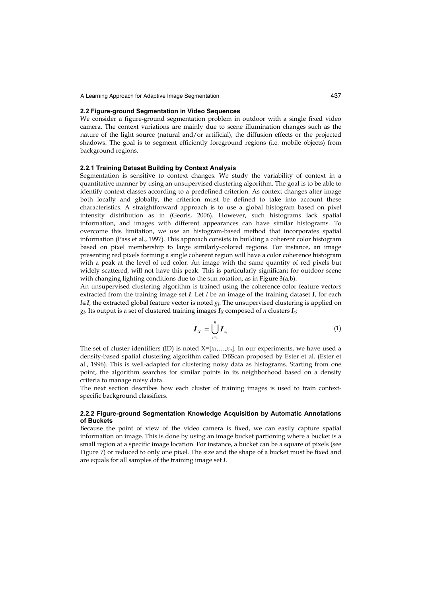#### **2.2 Figure-ground Segmentation in Video Sequences**

We consider a figure-ground segmentation problem in outdoor with a single fixed video camera. The context variations are mainly due to scene illumination changes such as the nature of the light source (natural and/or artificial), the diffusion effects or the projected shadows. The goal is to segment efficiently foreground regions (i.e. mobile objects) from background regions.

#### **2.2.1 Training Dataset Building by Context Analysis**

Segmentation is sensitive to context changes. We study the variability of context in a quantitative manner by using an unsupervised clustering algorithm. The goal is to be able to identify context classes according to a predefined criterion. As context changes alter image both locally and globally, the criterion must be defined to take into account these characteristics. A straightforward approach is to use a global histogram based on pixel intensity distribution as in (Georis, 2006). However, such histograms lack spatial information, and images with different appearances can have similar histograms. To overcome this limitation, we use an histogram-based method that incorporates spatial information (Pass et al., 1997). This approach consists in building a coherent color histogram based on pixel membership to large similarly-colored regions. For instance, an image presenting red pixels forming a single coherent region will have a color coherence histogram with a peak at the level of red color. An image with the same quantity of red pixels but widely scattered, will not have this peak. This is particularly significant for outdoor scene with changing lighting conditions due to the sun rotation, as in Figure 3(a,b).

An unsupervised clustering algorithm is trained using the coherence color feature vectors extracted from the training image set *I*. Let *I* be an image of the training dataset *I*, for each *I*∈*I*, the extracted global feature vector is noted *g<sub>I</sub>*. The unsupervised clustering is applied on  $g_I$ . Its output is a set of clustered training images  $I_X$  composed of *n* clusters  $I_X$ :

$$
\boldsymbol{I}_X = \bigcup_{i=1}^n \boldsymbol{I}_{x_i} \tag{1}
$$

The set of cluster identifiers (ID) is noted  $X=[x_1,...,x_n]$ . In our experiments, we have used a density-based spatial clustering algorithm called DBScan proposed by Ester et al. (Ester et al., 1996). This is well-adapted for clustering noisy data as histograms. Starting from one point, the algorithm searches for similar points in its neighborhood based on a density criteria to manage noisy data.

The next section describes how each cluster of training images is used to train contextspecific background classifiers.

#### **2.2.2 Figure-ground Segmentation Knowledge Acquisition by Automatic Annotations of Buckets**

Because the point of view of the video camera is fixed, we can easily capture spatial information on image. This is done by using an image bucket partioning where a bucket is a small region at a specific image location. For instance, a bucket can be a square of pixels (see Figure 7) or reduced to only one pixel. The size and the shape of a bucket must be fixed and are equals for all samples of the training image set *I*.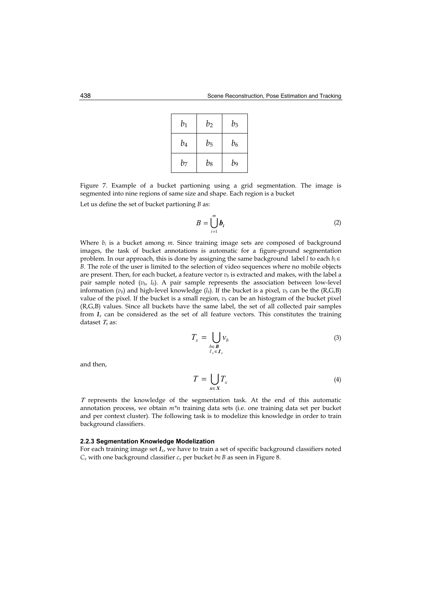| $b_1$ | $b_2$   | $b_3$ |
|-------|---------|-------|
| $b_4$ | $b_{5}$ | $b_6$ |
| b7    | $b_8$   | b9    |

Figure 7. Example of a bucket partioning using a grid segmentation. The image is segmented into nine regions of same size and shape. Each region is a bucket

Let us define the set of bucket partioning *B* as:

$$
B = \bigcup_{i=1}^{m} \boldsymbol{b}_i
$$
 (2)

Where *bi* is a bucket among *m*. Since training image sets are composed of background images, the task of bucket annotations is automatic for a figure-ground segmentation problem. In our approach, this is done by assigning the same background label *l* to each *bi* ∈ *B*. The role of the user is limited to the selection of video sequences where no mobile objects are present. Then, for each bucket, a feature vector  $v<sub>b</sub>$  is extracted and makes, with the label a pair sample noted  $(v_b, l_b)$ . A pair sample represents the association between low-level information  $(v_b)$  and high-level knowledge  $(l_b)$ . If the bucket is a pixel,  $v_b$  can be the  $(R, G, B)$ value of the pixel. If the bucket is a small region,  $v<sub>b</sub>$  can be an histogram of the bucket pixel (R,G,B) values. Since all buckets have the same label, the set of all collected pair samples from  $I<sub>x</sub>$  can be considered as the set of all feature vectors. This constitutes the training dataset <sup>Τ</sup>*x* as:

$$
T_x = \bigcup_{\substack{b \in \mathcal{B} \\ I_x \in \mathcal{I}_x}} \nu_b \tag{3}
$$

and then,

$$
T = \bigcup_{x \in X} T_x \tag{4}
$$

<sup>Τ</sup> represents the knowledge of the segmentation task. At the end of this automatic annotation process, we obtain *m\*n* training data sets (i.e. one training data set per bucket and per context cluster). The following task is to modelize this knowledge in order to train background classifiers.

#### **2.2.3 Segmentation Knowledge Modelization**

For each training image set *Ix*, we have to train a set of specific background classifiers noted *C<sub>x</sub>* with one background classifier  $c_x$  per bucket *b*∈*B* as seen in Figure 8.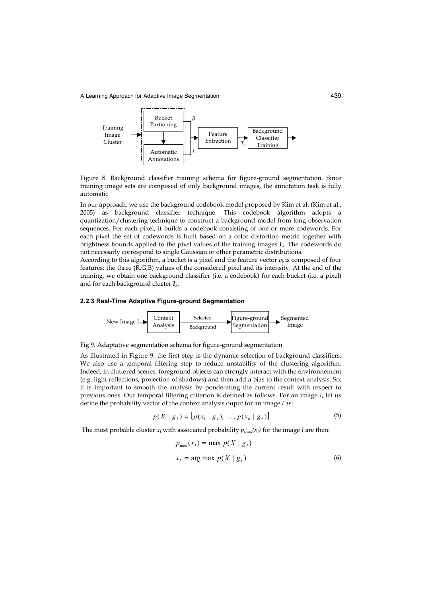

Figure 8. Background classifier training schema for figure-ground segmentation. Since training image sets are composed of only background images, the annotation task is fully automatic

In our approach, we use the background codebook model proposed by Kim et al. (Kim et al., 2005) as background classifier technique. This codebook algorithm adopts a quantization/clustering technique to construct a background model from long observation sequences. For each pixel, it builds a codebook consisting of one or more codewords. For each pixel the set of codewords is built based on a color distortion metric together with brightness bounds applied to the pixel values of the training images  $I<sub>x</sub>$ . The codewords do not necessarly correspond to single Gaussian or other parametric distributions.

According to this algorithm, a bucket is a pixel and the feature vector  $v<sub>b</sub>$  is composed of four features: the three (R,G,B) values of the considered pixel and its intensity. At the end of the training, we obtain one background classifier (i.e. a codebook) for each bucket (i.e. a pixel) and for each background cluster *Ix*.

#### **2.2.3 Real-Time Adaptive Figure-ground Segmentation**



Fig 9. Adaptative segmentation schema for figure-ground segmentation

As illustrated in Figure 9, the first step is the dynamic selection of background classifiers. We also use a temporal filtering step to reduce unstability of the clustering algorithm. Indeed, in cluttered scenes, foreground objects can strongly interact with the environnement (e.g. light reflections, projection of shadows) and then add a bias to the context analysis. So, it is important to smooth the analysis by ponderating the current result with respect to previous ones. Our temporal filtering criterion is defined as follows. For an image *I*, let us define the probability vector of the context analysis ouput for an image *I* as:

$$
p(X \mid g_1) = [p(x_1 \mid g_1), \dots, p(x_n \mid g_1)] \tag{5}
$$

The most probable cluster  $x_I$  with associated probability  $p_{\text{max}}(x_I)$  for the image *I* are then:

$$
p_{\max}(x_I) = \max p(X \mid g_I)
$$
  

$$
x_I = \arg \max p(X \mid g_I)
$$
 (6)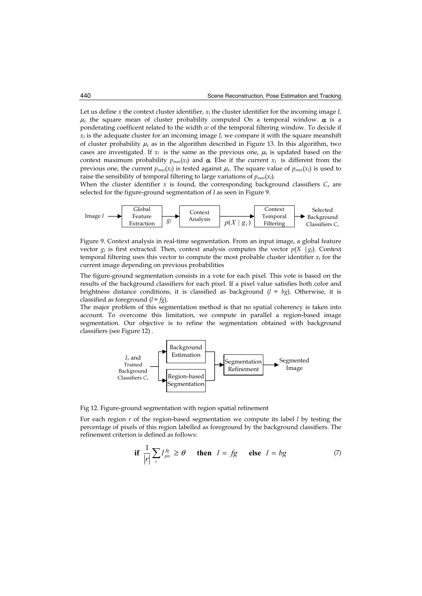Let us define *x* the context cluster identifier,  $x_i$  the cluster identifier for the incoming image  $I$ ,  $\mu$ <sub>x</sub> the square mean of cluster probability computed On a temporal window.  $\alpha$  is a ponderating coefficent related to the width *w* of the temporal filtering window. To decide if  $x_I$  is the adequate cluster for an incoming image *I*, we compare it with the square meanshift of cluster probability  $\mu_x$  as in the algorithm described in Figure 13. In this algorithm, two cases are investigated. If  $x_I$  is the same as the previous one,  $\mu_x$  is updated based on the context maximum probability  $p_{max}(x_i)$  and  $\alpha$ . Else if the current  $x_i$  is different from the previous one, the current  $p_{max}(x_i)$  is tested against  $\mu_x$ . The square value of  $p_{max}(x_i)$  is used to raise the sensibility of temporal filtering to large variations of  $p_{max}(x_I)$ .

When the cluster identifier  $x$  is found, the corresponding background classifiers  $C_x$  are selected for the figure-ground segmentation of *I* as seen in Figure 9.



Figure 9. Context analysis in real-time segmentation. From an input image, a global feature vector  $g_I$  is first extracted. Then, context analysis computes the vector  $p(X | g_I)$ . Context temporal filtering uses this vector to compute the most probable cluster identifier  $x_I$  for the current image depending on previous probabilities

The figure-ground segmentation consists in a vote for each pixel. This vote is based on the results of the background classifiers for each pixel. If a pixel value satisfies both color and brightness distance conditions, it is classified as background  $(l = bg)$ . Otherwise, it is classified as foreground (*l* = *fg*).

The major problem of this segmentation method is that no spatial coherency is taken into account. To overcome this limitation, we compute in parallel a region-based image segmentation. Our objective is to refine the segmentation obtained with background classifiers (see Figure 12) .



Fig 12. Figure-ground segmentation with region spatial refinement

For each region *r* of the region-based segmentation we compute its label *l* by testing the percentage of pixels of this region labelled as foreground by the background classifiers. The refinement criterion is defined as follows:

$$
\text{if } \frac{1}{|r|} \sum_{r} l_{\text{pix}}^{\text{fg}} \ge \theta \quad \text{then } l = fg \quad \text{else } l = bg \tag{7}
$$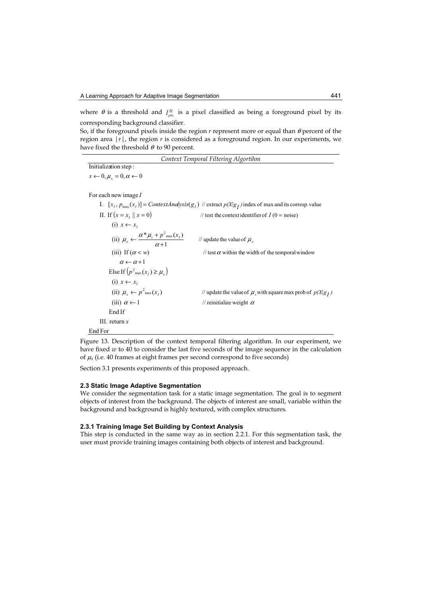where  $\theta$  is a threshold and  $l_{\text{pix}}^g$  is a pixel classified as being a foreground pixel by its corresponding background classifier.

So, if the foreground pixels inside the region *r* represent more or equal than θ percent of the region area  $|\dot{r}|$ , the region  $r$  is considered as a foreground region. In our experiments, we have fixed the threshold  $\theta$  to 90 percent.

| Context Temporal Filtering Algortihm                                                                                 |  |  |  |  |
|----------------------------------------------------------------------------------------------------------------------|--|--|--|--|
| Initialization step:                                                                                                 |  |  |  |  |
| $x \leftarrow 0, \mu = 0, \alpha \leftarrow 0$                                                                       |  |  |  |  |
|                                                                                                                      |  |  |  |  |
| For each new image I                                                                                                 |  |  |  |  |
| I. $[x_1, p_{\text{max}}(x_1)]$ = ContextAnalysis( $g_1$ ) // extract $p(X g_1)$ index of max and its corresp. value |  |  |  |  |
| II. If $(x = x_1 \mid x = 0)$<br>// test the context identifier of $I(0 = noise)$                                    |  |  |  |  |
| $(i)$ $x \leftarrow x_i$                                                                                             |  |  |  |  |
| (ii) $\mu_x \leftarrow \frac{\alpha^* \mu_c + p^2 \max(x_i)}{\alpha + 1}$<br>// update the value of $\mu$ .          |  |  |  |  |
| (iii) If $(\alpha < w)$<br>// test $\alpha$ within the width of the temporal window                                  |  |  |  |  |
| $\alpha \leftarrow \alpha + 1$                                                                                       |  |  |  |  |
| Else If $(p^2_{max}(x_i) \ge \mu)$                                                                                   |  |  |  |  |
| $(i)$ $x \leftarrow x_i$                                                                                             |  |  |  |  |
| (ii) $\mu_{\nu} \leftarrow p^2_{\max}(x_i)$<br>// update the value of $\mu_x$ with square max prob of $p(X g_I)$     |  |  |  |  |
| (iii) $\alpha \leftarrow 1$<br>// reinitialize weight $\alpha$                                                       |  |  |  |  |
| End If                                                                                                               |  |  |  |  |
| III. return $x$                                                                                                      |  |  |  |  |
| End For                                                                                                              |  |  |  |  |

Figure 13. Description of the context temporal filtering algorithm. In our experiment, we have fixed *w* to 40 to consider the last five seconds of the image sequence in the calculation of  $\mu$ <sub>x</sub> (i.e. 40 frames at eight frames per second correspond to five seconds)

Section 3.1 presents experiments of this proposed approach.

#### **2.3 Static Image Adaptive Segmentation**

We consider the segmentation task for a static image segmentation. The goal is to segment objects of interest from the background. The objects of interest are small, variable within the background and background is highly textured, with complex structures.

#### **2.3.1 Training Image Set Building by Context Analysis**

This step is conducted in the same way as in section 2.2.1. For this segmentation task, the user must provide training images containing both objects of interest and background.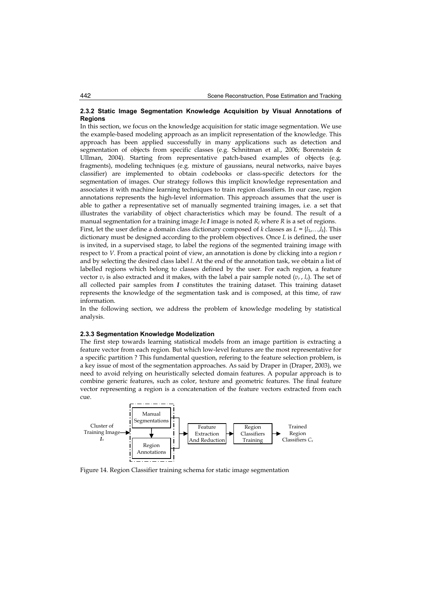#### **2.3.2 Static Image Segmentation Knowledge Acquisition by Visual Annotations of Regions**

In this section, we focus on the knowledge acquisition for static image segmentation. We use the example-based modeling approach as an implicit representation of the knowledge. This approach has been applied successfully in many applications such as detection and segmentation of objects from specific classes (e.g. Schnitman et al., 2006; Borenstein & Ullman, 2004). Starting from representative patch-based examples of objects (e.g. fragments), modeling techniques (e.g. mixture of gaussians, neural networks, naive bayes classifier) are implemented to obtain codebooks or class-specific detectors for the segmentation of images. Our strategy follows this implicit knowledge representation and associates it with machine learning techniques to train region classifiers. In our case, region annotations represents the high-level information. This approach assumes that the user is able to gather a representative set of manually segmented training images, i.e. a set that illustrates the variability of object characteristics which may be found. The result of a manual segmentation for a training image  $I \in I$  image is noted  $R_I$  where  $R$  is a set of regions. First, let the user define a domain class dictionary composed of *k* classes as  $L = \{l_1, \ldots, l_k\}$ . This dictionary must be designed according to the problem objectives. Once *L* is defined, the user is invited, in a supervised stage, to label the regions of the segmented training image with respect to *V*. From a practical point of view, an annotation is done by clicking into a region *r* and by selecting the desired class label *l*. At the end of the annotation task, we obtain a list of labelled regions which belong to classes defined by the user. For each region, a feature vector  $v_r$  is also extracted and it makes, with the label a pair sample noted  $(v_r, l_r)$ . The set of all collected pair samples from *I* constitutes the training dataset. This training dataset represents the knowledge of the segmentation task and is composed, at this time, of raw information.

In the following section, we address the problem of knowledge modeling by statistical analysis.

#### **2.3.3 Segmentation Knowledge Modelization**

The first step towards learning statistical models from an image partition is extracting a feature vector from each region. But which low-level features are the most representative for a specific partition ? This fundamental question, refering to the feature selection problem, is a key issue of most of the segmentation approaches. As said by Draper in (Draper, 2003), we need to avoid relying on heuristically selected domain features. A popular approach is to combine generic features, such as color, texture and geometric features. The final feature vector representing a region is a concatenation of the feature vectors extracted from each cue.



Figure 14. Region Classifier training schema for static image segmentation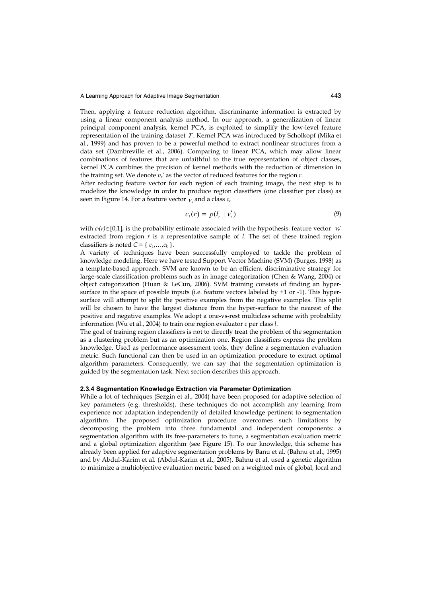Then, applying a feature reduction algorithm, discriminante information is extracted by using a linear component analysis method. In our approach, a generalization of linear principal component analysis, kernel PCA, is exploited to simplify the low-level feature representation of the training dataset T. Kernel PCA was introduced by Scholkopf (Mika et al., 1999) and has proven to be a powerful method to extract nonlinear structures from a data set (Dambreville et al., 2006). Comparing to linear PCA, which may allow linear combinations of features that are unfaithful to the true representation of object classes, kernel PCA combines the precision of kernel methods with the reduction of dimension in the training set. We denote  $v_r$ ' as the vector of reduced features for the region  $r$ .

After reducing feature vector for each region of each training image, the next step is to modelize the knowledge in order to produce region classifiers (one classifier per class) as seen in Figure 14. For a feature vector  $v_{r}$  and a class  $c$ ,

$$
c_i(r) = p(l_r \mid v'_r) \tag{9}
$$

with *cl(r)*∈[0,1], is the probability estimate associated with the hypothesis: feature vector ν*r'* extracted from region  $r$  is a representative sample of  $l$ . The set of these trained region classifiers is noted  $C = \{c_1, \ldots, c_k\}$ .

A variety of techniques have been successfully employed to tackle the problem of knowledge modeling. Here we have tested Support Vector Machine (SVM) (Burges, 1998) as a template-based approach. SVM are known to be an efficient discriminative strategy for large-scale classification problems such as in image categorization (Chen & Wang, 2004) or object categorization (Huan & LeCun, 2006). SVM training consists of finding an hypersurface in the space of possible inputs (i.e. feature vectors labeled by +1 or -1). This hypersurface will attempt to split the positive examples from the negative examples. This split will be chosen to have the largest distance from the hyper-surface to the nearest of the positive and negative examples. We adopt a one-vs-rest multiclass scheme with probability information (Wu et al., 2004) to train one region evaluator *c* per class *l*.

The goal of training region classifiers is not to directly treat the problem of the segmentation as a clustering problem but as an optimization one. Region classifiers express the problem knowledge. Used as performance assessment tools, they define a segmentation evaluation metric. Such functional can then be used in an optimization procedure to extract optimal algorithm parameters. Consequently, we can say that the segmentation optimization is guided by the segmentation task. Next section describes this approach.

#### **2.3.4 Segmentation Knowledge Extraction via Parameter Optimization**

While a lot of techniques (Sezgin et al., 2004) have been proposed for adaptive selection of key parameters (e.g. thresholds), these techniques do not accomplish any learning from experience nor adaptation independently of detailed knowledge pertinent to segmentation algorithm. The proposed optimization procedure overcomes such limitations by decomposing the problem into three fundamental and independent components: a segmentation algorithm with its free-parameters to tune, a segmentation evaluation metric and a global optimization algorithm (see Figure 15). To our knowledge, this scheme has already been applied for adaptive segmentation problems by Banu et al. (Bahnu et al., 1995) and by Abdul-Karim et al. (Abdul-Karim et al., 2005). Bahnu et al. used a genetic algorithm to minimize a multiobjective evaluation metric based on a weighted mix of global, local and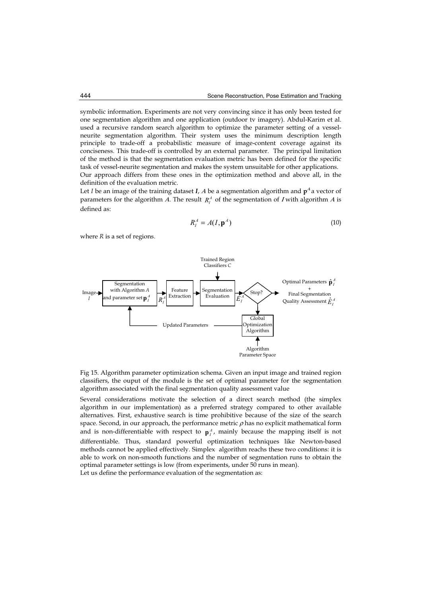symbolic information. Experiments are not very convincing since it has only been tested for one segmentation algorithm and one application (outdoor tv imagery). Abdul-Karim et al. used a recursive random search algorithm to optimize the parameter setting of a vesselneurite segmentation algorithm. Their system uses the minimum description length principle to trade-off a probabilistic measure of image-content coverage against its conciseness. This trade-off is controlled by an external parameter. The principal limitation of the method is that the segmentation evaluation metric has been defined for the specific task of vessel-neurite segmentation and makes the system unsuitable for other applications. Our approach differs from these ones in the optimization method and above all, in the definition of the evaluation metric.

Let *I* be an image of the training dataset *I*, *A* be a segmentation algorithm and  $p^A$  a vector of parameters for the algorithm Α. The result *<sup>A</sup> RI* of the segmentation of Ι with algorithm Α is defined as:

$$
R_I^A = A(I, \mathbf{p}^A) \tag{10}
$$

where *R* is a set of regions.



Fig 15. Algorithm parameter optimization schema. Given an input image and trained region classifiers, the ouput of the module is the set of optimal parameter for the segmentation algorithm associated with the final segmentation quality assessment value

Several considerations motivate the selection of a direct search method (the simplex algorithm in our implementation) as a preferred strategy compared to other available alternatives. First, exhaustive search is time prohibitive because of the size of the search space. Second, in our approach, the performance metric  $\rho$  has no explicit mathematical form and is non-differentiable with respect to  $\mathbf{p}^A$ , mainly because the mapping itself is not differentiable. Thus, standard powerful optimization techniques like Newton-based methods cannot be applied effectively. Simplex algorithm reachs these two conditions: it is able to work on non-smooth functions and the number of segmentation runs to obtain the optimal parameter settings is low (from experiments, under 50 runs in mean). Let us define the performance evaluation of the segmentation as: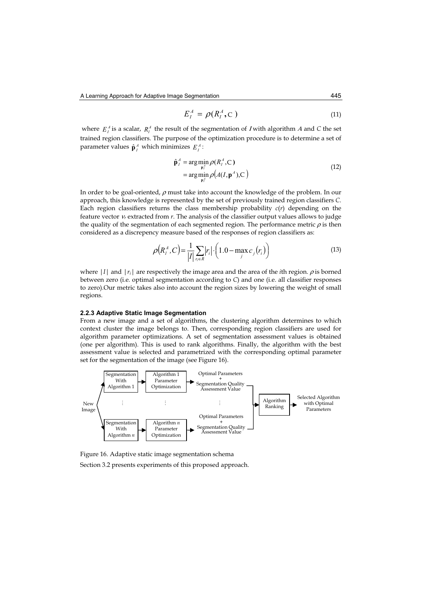$$
E_I^A = \rho(R_I^A, C) \tag{11}
$$

where  $E_t^A$  is a scalar,  $R_t^A$  the result of the segmentation of *I* with algorithm A and *C* the set trained region classifiers. The purpose of the optimization procedure is to determine a set of parameter values  $\hat{\mathbf{p}}_I^A$  which minimizes  $E_I^A$ :

$$
\hat{\mathbf{p}}_I^A = \underset{\mathbf{p}_I^A}{\arg\min} \rho(R_I^A, C) \n= \underset{\mathbf{p}_I^A}{\arg\min} \rho(A(I, \mathbf{p}^A), C)
$$
\n(12)

In order to be goal-oriented,  $\rho$  must take into account the knowledge of the problem. In our approach, this knowledge is represented by the set of previously trained region classifiers *C*. Each region classifiers returns the class membership probability  $c(r)$  depending on the feature vector  $v_r$  extracted from  $r$ . The analysis of the classifier output values allows to judge the quality of the segmentation of each segmented region. The performance metric  $\rho$  is then considered as a discrepency measure based of the responses of region classifiers as:

$$
\rho\big(R_i^A, C\big) = \frac{1}{|I|} \sum_{r_i \in R} |r_i| \cdot \bigg(1.0 - \max_j c_j(r_i)\bigg) \tag{13}
$$

where  $|I|$  and  $|r_i|$  are respectively the image area and the area of the *i*th region.  $\rho$  is borned between zero (i.e. optimal segmentation according to *C*) and one (i.e. all classifier responses to zero).Our metric takes also into account the region sizes by lowering the weight of small regions.

#### **2.2.3 Adaptive Static Image Segmentation**

From a new image and a set of algorithms, the clustering algorithm determines to which context cluster the image belongs to. Then, corresponding region classifiers are used for algorithm parameter optimizations. A set of segmentation assessment values is obtained (one per algorithm). This is used to rank algorithms. Finally, the algorithm with the best assessment value is selected and parametrized with the corresponding optimal parameter set for the segmentation of the image (see Figure 16).



Figure 16. Adaptive static image segmentation schema Section 3.2 presents experiments of this proposed approach.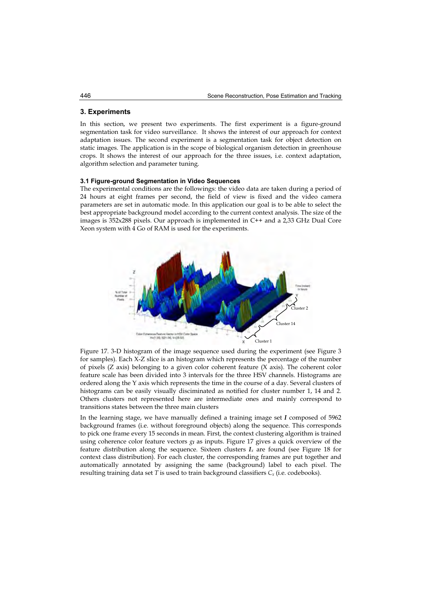#### **3. Experiments**

In this section, we present two experiments. The first experiment is a figure-ground segmentation task for video surveillance. It shows the interest of our approach for context adaptation issues. The second experiment is a segmentation task for object detection on static images. The application is in the scope of biological organism detection in greenhouse crops. It shows the interest of our approach for the three issues, i.e. context adaptation, algorithm selection and parameter tuning.

#### **3.1 Figure-ground Segmentation in Video Sequences**

The experimental conditions are the followings: the video data are taken during a period of 24 hours at eight frames per second, the field of view is fixed and the video camera parameters are set in automatic mode. In this application our goal is to be able to select the best appropriate background model according to the current context analysis. The size of the images is 352x288 pixels. Our approach is implemented in C++ and a 2,33 GHz Dual Core Xeon system with 4 Go of RAM is used for the experiments.



Figure 17. 3-D histogram of the image sequence used during the experiment (see Figure 3 for samples). Each X-Z slice is an histogram which represents the percentage of the number of pixels (Z axis) belonging to a given color coherent feature (X axis). The coherent color feature scale has been divided into 3 intervals for the three HSV channels. Histograms are ordered along the Y axis which represents the time in the course of a day. Several clusters of histograms can be easily visually disciminated as notified for cluster number 1, 14 and 2. Others clusters not represented here are intermediate ones and mainly correspond to transitions states between the three main clusters

In the learning stage, we have manually defined a training image set *I* composed of 5962 background frames (i.e. without foreground objects) along the sequence. This corresponds to pick one frame every 15 seconds in mean. First, the context clustering algorithm is trained using coherence color feature vectors *gI* as inputs. Figure 17 gives a quick overview of the feature distribution along the sequence. Sixteen clusters  $I_x$  are found (see Figure 18 for context class distribution). For each cluster, the corresponding frames are put together and automatically annotated by assigning the same (background) label to each pixel. The resulting training data set *T* is used to train background classifiers *Cx* (i.e. codebooks).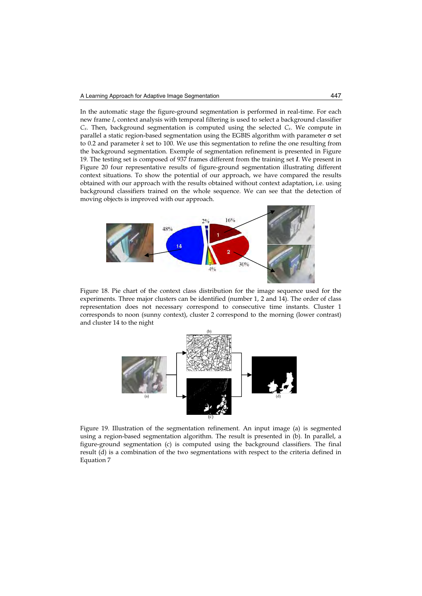In the automatic stage the figure-ground segmentation is performed in real-time. For each new frame *I*, context analysis with temporal filtering is used to select a background classifier *Cx*. Then, background segmentation is computed using the selected *Cx*. We compute in parallel a static region-based segmentation using the EGBIS algorithm with parameter σ set to 0.2 and parameter *k* set to 100. We use this segmentation to refine the one resulting from the background segmentation. Exemple of segmentation refinement is presented in Figure 19. The testing set is composed of 937 frames different from the training set *I*. We present in Figure 20 four representative results of figure-ground segmentation illustrating different context situations. To show the potential of our approach, we have compared the results obtained with our approach with the results obtained without context adaptation, i.e. using background classifiers trained on the whole sequence. We can see that the detection of moving objects is improved with our approach.



Figure 18. Pie chart of the context class distribution for the image sequence used for the experiments. Three major clusters can be identified (number 1, 2 and 14). The order of class representation does not necessary correspond to consecutive time instants. Cluster 1 corresponds to noon (sunny context), cluster 2 correspond to the morning (lower contrast) and cluster 14 to the night



Figure 19. Illustration of the segmentation refinement. An input image (a) is segmented using a region-based segmentation algorithm. The result is presented in (b). In parallel, a figure-ground segmentation (c) is computed using the background classifiers. The final result (d) is a combination of the two segmentations with respect to the criteria defined in Equation 7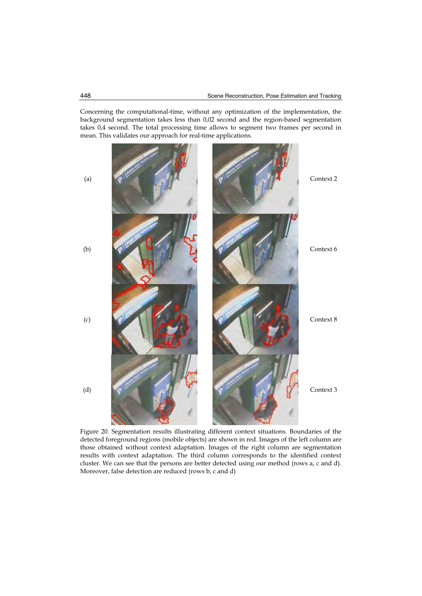Concerning the computational-time, without any optimization of the implementation, the background segmentation takes less than 0,02 second and the region-based segmentation takes 0,4 second. The total processing time allows to segment two frames per second in mean. This validates our approach for real-time applications.



Figure 20. Segmentation results illustrating different context situations. Boundaries of the detected foreground regions (mobile objects) are shown in red. Images of the left column are those obtained without context adaptation. Images of the right column are segmentation results with context adaptation. The third column corresponds to the identified context cluster. We can see that the persons are better detected using our method (rows a, c and d). Moreover, false detection are reduced (rows b, c and d)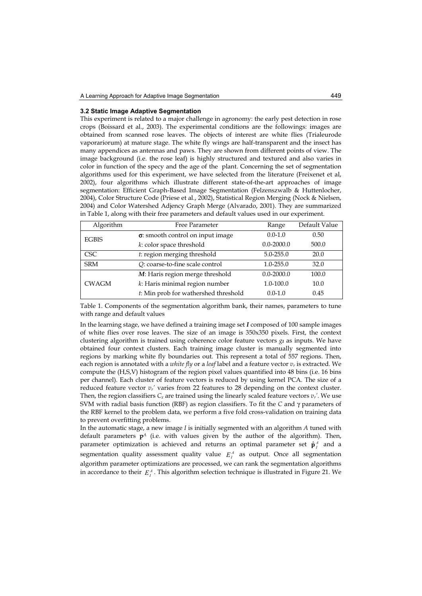#### **3.2 Static Image Adaptive Segmentation**

This experiment is related to a major challenge in agronomy: the early pest detection in rose crops (Boissard et al., 2003). The experimental conditions are the followings: images are obtained from scanned rose leaves. The objects of interest are white flies (Trialeurode vaporariorum) at mature stage. The white fly wings are half-transparent and the insect has many appendices as antennas and paws. They are shown from different points of view. The image background (i.e. the rose leaf) is highly structured and textured and also varies in color in function of the specy and the age of the plant. Concerning the set of segmentation algorithms used for this experiment, we have selected from the literature (Freixenet et al, 2002), four algorithms which illustrate different state-of-the-art approaches of image segmentation: Efficient Graph-Based Image Segmentation (Felzenszwalb & Huttenlocher, 2004), Color Structure Code (Priese et al., 2002), Statistical Region Merging (Nock & Nielsen, 2004) and Color Watershed Adjency Graph Merge (Alvarado, 2001). They are summarized in Table 1, along with their free parameters and default values used in our experiment.

| Algorithm    | Free Parameter                           | Range          | Default Value |
|--------------|------------------------------------------|----------------|---------------|
| <b>EGBIS</b> | $\sigma$ : smooth control on input image | $0.0 - 1.0$    | 0.50          |
|              | k: color space threshold                 | $0.0 - 2000.0$ | 500.0         |
| CSC.         | t: region merging threshold              | $5.0 - 255.0$  | 20.0          |
| <b>SRM</b>   | Q: coarse-to-fine scale control          | $1.0 - 255.0$  | 32.0          |
| <b>CWAGM</b> | M: Haris region merge threshold          | $0.0 - 2000.0$ | 100.0         |
|              | $k$ : Haris minimal region number        | $1.0 - 100.0$  | 10.0          |
|              | t: Min prob for wathershed threshold     | $0.0 - 1.0$    | 0.45          |

Table 1. Components of the segmentation algorithm bank, their names, parameters to tune with range and default values

In the learning stage, we have defined a training image set *I* composed of 100 sample images of white flies over rose leaves. The size of an image is 350x350 pixels. First, the context clustering algorithm is trained using coherence color feature vectors  $g_I$  as inputs. We have obtained four context clusters. Each training image cluster is manually segmented into regions by marking white fly boundaries out. This represent a total of 557 regions. Then, each region is annotated with a *white fly* or a *leaf* label and a feature vector *vr* is extracted. We compute the (H,S,V) histogram of the region pixel values quantified into 48 bins (i.e. 16 bins per channel). Each cluster of feature vectors is reduced by using kernel PCA. The size of a reduced feature vector *vr'* varies from 22 features to 28 depending on the context cluster. Then, the region classifiers  $C_x$  are trained using the linearly scaled feature vectors  $v_r'$ . We use SVM with radial basis function (RBF) as region classifiers. To fit the *C* and γ parameters of the RBF kernel to the problem data, we perform a five fold cross-validation on training data to prevent overfitting problems.

In the automatic stage, a new image *I* is initially segmented with an algorithm *A* tuned with default parameters **p***A* (i.e. with values given by the author of the algorithm). Then, parameter optimization is achieved and returns an optimal parameter set  $\hat{\mathbf{p}}_I^A$  and a segmentation quality assessment quality value  $E_t^A$  as output. Once all segmentation algorithm parameter optimizations are processed, we can rank the segmentation algorithms in accordance to their  $E^A$ . This algorithm selection technique is illustrated in Figure 21. We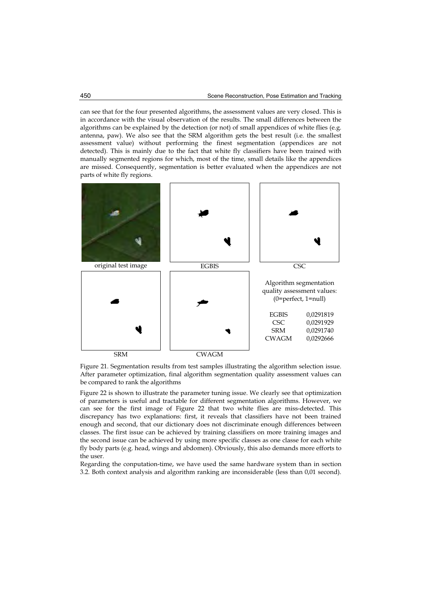can see that for the four presented algorithms, the assessment values are very closed. This is in accordance with the visual observation of the results. The small differences between the algorithms can be explained by the detection (or not) of small appendices of white flies (e.g. antenna, paw). We also see that the SRM algorithm gets the best result (i.e. the smallest assessment value) without performing the finest segmentation (appendices are not detected). This is mainly due to the fact that white fly classifiers have been trained with manually segmented regions for which, most of the time, small details like the appendices are missed. Consequently, segmentation is better evaluated when the appendices are not parts of white fly regions.



Figure 21. Segmentation results from test samples illustrating the algorithm selection issue. After parameter optimization, final algorithm segmentation quality assessment values can be compared to rank the algorithms

Figure 22 is shown to illustrate the parameter tuning issue. We clearly see that optimization of parameters is useful and tractable for different segmentation algorithms. However, we can see for the first image of Figure 22 that two white flies are miss-detected. This discrepancy has two explanations: first, it reveals that classifiers have not been trained enough and second, that our dictionary does not discriminate enough differences between classes. The first issue can be achieved by training classifiers on more training images and the second issue can be achieved by using more specific classes as one classe for each white fly body parts (e.g. head, wings and abdomen). Obviously, this also demands more efforts to the user.

Regarding the conputation-time, we have used the same hardware system than in section 3.2. Both context analysis and algorithm ranking are inconsiderable (less than 0,01 second).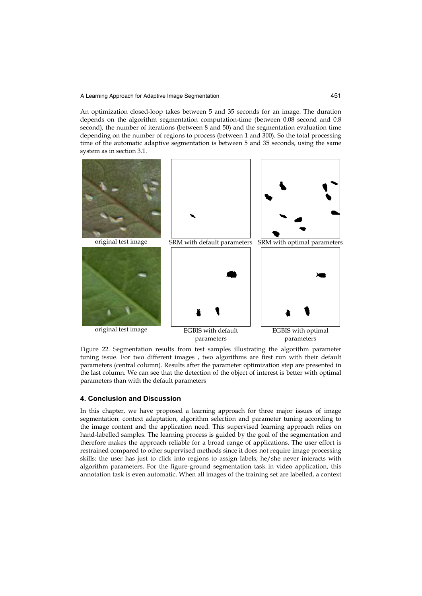An optimization closed-loop takes between 5 and 35 seconds for an image. The duration depends on the algorithm segmentation computation-time (between 0.08 second and 0.8 second), the number of iterations (between 8 and 50) and the segmentation evaluation time depending on the number of regions to process (between 1 and 300). So the total processing time of the automatic adaptive segmentation is between 5 and 35 seconds, using the same system as in section 3.1.



Figure 22. Segmentation results from test samples illustrating the algorithm parameter tuning issue. For two different images , two algorithms are first run with their default parameters (central column). Results after the parameter optimization step are presented in the last column. We can see that the detection of the object of interest is better with optimal parameters than with the default parameters

#### **4. Conclusion and Discussion**

In this chapter, we have proposed a learning approach for three major issues of image segmentation: context adaptation, algorithm selection and parameter tuning according to the image content and the application need. This supervised learning approach relies on hand-labelled samples. The learning process is guided by the goal of the segmentation and therefore makes the approach reliable for a broad range of applications. The user effort is restrained compared to other supervised methods since it does not require image processing skills: the user has just to click into regions to assign labels; he/she never interacts with algorithm parameters. For the figure-ground segmentation task in video application, this annotation task is even automatic. When all images of the training set are labelled, a context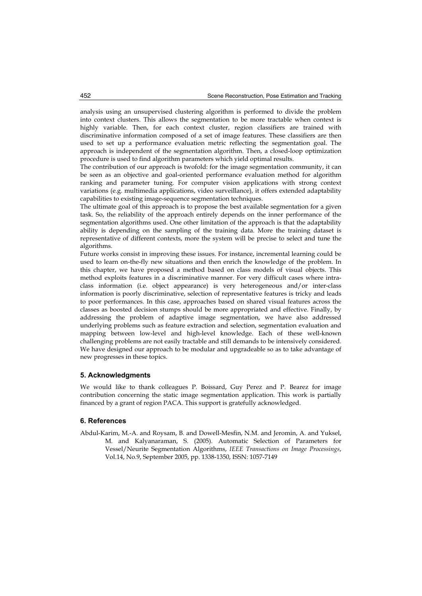analysis using an unsupervised clustering algorithm is performed to divide the problem into context clusters. This allows the segmentation to be more tractable when context is highly variable. Then, for each context cluster, region classifiers are trained with discriminative information composed of a set of image features. These classifiers are then used to set up a performance evaluation metric reflecting the segmentation goal. The approach is independent of the segmentation algorithm. Then, a closed-loop optimization procedure is used to find algorithm parameters which yield optimal results.

The contribution of our approach is twofold: for the image segmentation community, it can be seen as an objective and goal-oriented performance evaluation method for algorithm ranking and parameter tuning. For computer vision applications with strong context variations (e.g. multimedia applications, video surveillance), it offers extended adaptability capabilities to existing image-sequence segmentation techniques.

The ultimate goal of this approach is to propose the best available segmentation for a given task. So, the reliability of the approach entirely depends on the inner performance of the segmentation algorithms used. One other limitation of the approach is that the adaptability ability is depending on the sampling of the training data. More the training dataset is representative of different contexts, more the system will be precise to select and tune the algorithms.

Future works consist in improving these issues. For instance, incremental learning could be used to learn on-the-fly new situations and then enrich the knowledge of the problem. In this chapter, we have proposed a method based on class models of visual objects. This method exploits features in a discriminative manner. For very difficult cases where intraclass information (i.e. object appearance) is very heterogeneous and/or inter-class information is poorly discriminative, selection of representative features is tricky and leads to poor performances. In this case, approaches based on shared visual features across the classes as boosted decision stumps should be more appropriated and effective. Finally, by addressing the problem of adaptive image segmentation, we have also addressed underlying problems such as feature extraction and selection, segmentation evaluation and mapping between low-level and high-level knowledge. Each of these well-known challenging problems are not easily tractable and still demands to be intensively considered. We have designed our approach to be modular and upgradeable so as to take advantage of new progresses in these topics.

#### **5. Acknowledgments**

We would like to thank colleagues P. Boissard, Guy Perez and P. Bearez for image contribution concerning the static image segmentation application. This work is partially financed by a grant of region PACA. This support is gratefully acknowledged.

#### **6. References**

Abdul-Karim, M.-A. and Roysam, B. and Dowell-Mesfin, N.M. and Jeromin, A. and Yuksel, M. and Kalyanaraman, S. (2005). Automatic Selection of Parameters for Vessel/Neurite Segmentation Algorithms, *IEEE Transactions on Image Processings*, Vol.14, No.9, September 2005, pp. 1338-1350, ISSN: 1057-7149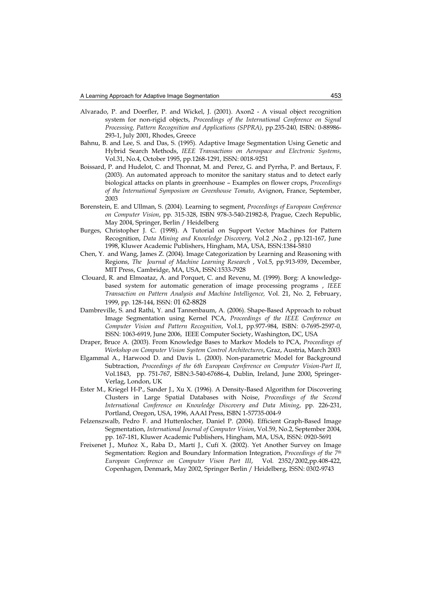- Alvarado, P. and Doerfler, P. and Wickel, J. (2001). Axon2 A visual object recognition system for non-rigid objects, *Proceedings of the International Conference on Signal Processing, Pattern Recognition and Applications (SPPRA)*, pp.235-240*,* ISBN: 0-88986- 293-1, July 2001, Rhodes, Greece
- Bahnu, B. and Lee, S. and Das, S. (1995). Adaptive Image Segmentation Using Genetic and Hybrid Search Methods, *IEEE Transactions on Aerospace and Electronic Systems*, Vol.31, No.4, October 1995, pp.1268-1291, ISSN: 0018-9251
- Boissard, P. and Hudelot, C. and Thonnat, M. and Perez, G. and Pyrrha, P. and Bertaux, F. (2003). An automated approach to monitor the sanitary status and to detect early biological attacks on plants in greenhouse – Examples on flower crops, *Proceedings of the International Symposium on Greenhouse Tomato*, Avignon, France, September, 2003
- Borenstein, E. and Ullman, S. (2004). Learning to segment, *Proceedings of European Conference on Computer Vision*, pp. 315-328, ISBN 978-3-540-21982-8, Prague, Czech Republic, May 2004, Springer, Berlin / Heidelberg
- Burges, Christopher J. C. (1998). A Tutorial on Support Vector Machines for Pattern Recognition, *Data Mining and Knowledge Discovery,* Vol.2 ,No.2 , pp.121-167, June 1998, Kluwer Academic Publishers, Hingham, MA, USA, ISSN:1384-5810
- Chen, Y. and Wang, James Z. (2004). Image Categorization by Learning and Reasoning with Regions, *The Journal of Machine Learning Research* , Vol.5, pp.913-939, December, MIT Press, Cambridge, MA, USA, ISSN:1533-7928
- Clouard, R. and Elmoataz, A. and Porquet, C. and Revenu, M. (1999). Borg: A knowledgebased system for automatic generation of image processing programs , *IEEE Transaction on Pattern Analysis and Machine Intelligence,* Vol. 21, No. 2, February, 1999, pp. 128-144, ISSN: 01 62-8828
- Dambreville, S. and Rathi, Y. and Tannenbaum, A. (2006). Shape-Based Approach to robust Image Segmentation using Kernel PCA, *Proceedings of the IEEE Conference on Computer Vision and Pattern Recognition*, Vol.1, pp.977-984, ISBN: 0-7695-2597-0, ISSN: 1063-6919, June 2006, IEEE Computer Society, Washington, DC, USA
- Draper, Bruce A. (2003). From Knowledge Bases to Markov Models to PCA, *Proceedings of Workshop on Computer Vision System Control Architectures*, Graz, Austria, March 2003
- Elgammal A., Harwood D. and Davis L. (2000). Non-parametric Model for Background Subtraction, *Proceedings of the 6th European Conference on Computer Vision-Part II*, Vol.1843, pp. 751-767, ISBN:3-540-67686-4, Dublin, Ireland, June 2000**,** Springer-Verlag, London, UK
- Ester M., Kriegel H-P., Sander J., Xu X. (1996). A Density-Based Algorithm for Discovering Clusters in Large Spatial Databases with Noise, *Proceedings of the Second International Conference on Knowledge Discovery and Data Mining*, pp. 226-231, Portland, Oregon, USA, 1996, AAAI Press, ISBN 1-57735-004-9
- Felzenszwalb, Pedro F. and Huttenlocher, Daniel P. (2004). Efficient Graph-Based Image Segmentation, *International Journal of Computer Vision*, Vol.59, No.2, September 2004, pp. 167-181, Kluwer Academic Publishers, Hingham, MA, USA, ISSN: 0920-5691
- Freixenet J., Muñoz X., Raba D., Martí J., Cufí X. (2002). Yet Another Survey on Image Segmentation: Region and Boundary Information Integration, *Proceedings of the 7th European Conference on Computer Vison Part III*, Vol. 2352/2002,pp.408-422, Copenhagen, Denmark, May 2002, Springer Berlin / Heidelberg, ISSN: 0302-9743